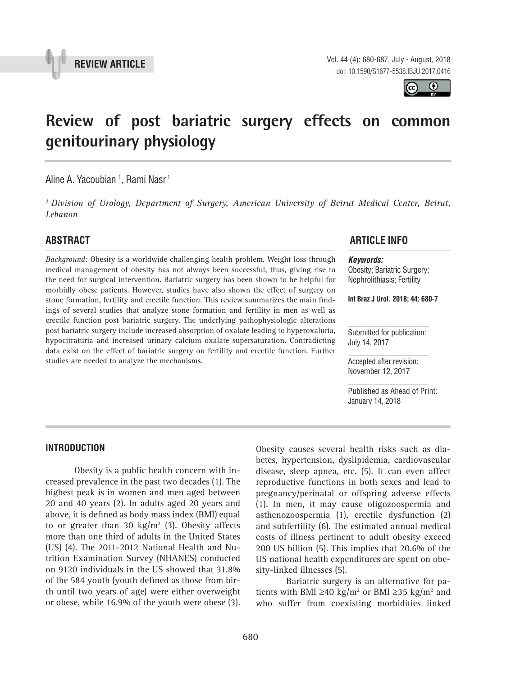



# **Review of post bariatric surgery effects on common genitourinary physiology \_\_\_\_\_\_\_\_\_\_\_\_\_\_\_\_\_\_\_\_\_\_\_\_\_\_\_\_\_\_\_\_\_\_\_\_\_\_\_\_\_\_\_\_\_\_\_**

Aline A. Yacoubian <sup>1</sup>, Rami Nasr <sup>1</sup>

*1 Division of Urology, Department of Surgery, American University of Beirut Medical Center, Beirut, Lebanon*

*Background:* Obesity is a worldwide challenging health problem. Weight loss through medical management of obesity has not always been successful, thus, giving rise to the need for surgical intervention. Bariatric surgery has been shown to be helpful for morbidly obese patients. However, studies have also shown the effect of surgery on stone formation, fertility and erectile function. This review summarizes the main findings of several studies that analyze stone formation and fertility in men as well as erectile function post bariatric surgery. The underlying pathophysiologic alterations post bariatric surgery include increased absorption of oxalate leading to hyperoxaluria, hypocitraturia and increased urinary calcium oxalate supersaturation. Contradicting data exist on the effect of bariatric surgery on fertility and erectile function. Further studies are needed to analyze the mechanisms.

## **ABSTRACT ARTICLE INFO** *\_\_\_\_\_\_\_\_\_\_\_\_\_\_\_\_\_\_\_\_\_\_\_\_\_\_\_\_\_\_\_\_\_\_\_\_\_\_\_\_\_\_\_\_\_\_\_\_\_\_\_\_\_\_\_\_\_\_\_\_\_\_ \_\_\_\_\_\_\_\_\_\_\_\_\_\_\_\_\_\_\_\_\_\_*

*Keywords:* Obesity; Bariatric Surgery; Nephrolithiasis; Fertility

**Int Braz J Urol. 2018; 44: 680-7**

Submitted for publication: July 14, 2017

Accepted after revision: November 12, 2017

Published as Ahead of Print: January 14, 2018

#### **INTRODUCTION**

Obesity is a public health concern with increased prevalence in the past two decades (1). The highest peak is in women and men aged between 20 and 40 years (2). In adults aged 20 years and above, it is defined as body mass index (BMI) equal to or greater than 30  $\text{kg/m}^2$  (3). Obesity affects more than one third of adults in the United States (US) (4). The 2011-2012 National Health and Nutrition Examination Survey (NHANES) conducted on 9120 individuals in the US showed that 31.8% of the 584 youth (youth defined as those from birth until two years of age) were either overweight or obese, while 16.9% of the youth were obese (3).

Obesity causes several health risks such as diabetes, hypertension, dyslipidemia, cardiovascular disease, sleep apnea, etc. (5). It can even affect reproductive functions in both sexes and lead to pregnancy/perinatal or offspring adverse effects (1). In men, it may cause oligozoospermia and asthenozoospermia (1), erectile dysfunction (2) and subfertility (6). The estimated annual medical costs of illness pertinent to adult obesity exceed 200 US billion (5). This implies that 20.6% of the US national health expenditures are spent on obesity-linked illnesses (5).

Bariatric surgery is an alternative for patients with BMI ≥40 kg/m<sup>2</sup> or BMI ≥35 kg/m<sup>2</sup> and who suffer from coexisting morbidities linked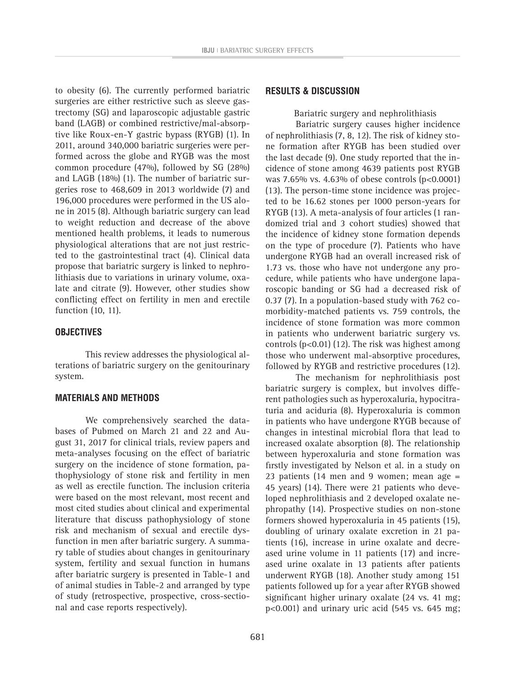to obesity (6). The currently performed bariatric surgeries are either restrictive such as sleeve gastrectomy (SG) and laparoscopic adjustable gastric band (LAGB) or combined restrictive/mal-absorptive like Roux-en-Y gastric bypass (RYGB) (1). In 2011, around 340,000 bariatric surgeries were performed across the globe and RYGB was the most common procedure (47%), followed by SG (28%) and LAGB (18%) (1). The number of bariatric surgeries rose to 468,609 in 2013 worldwide (7) and 196,000 procedures were performed in the US alone in 2015 (8). Although bariatric surgery can lead to weight reduction and decrease of the above mentioned health problems, it leads to numerous physiological alterations that are not just restricted to the gastrointestinal tract (4). Clinical data propose that bariatric surgery is linked to nephrolithiasis due to variations in urinary volume, oxalate and citrate (9). However, other studies show conflicting effect on fertility in men and erectile function (10, 11).

#### **OBJECTIVES**

This review addresses the physiological alterations of bariatric surgery on the genitourinary system.

#### **MATERIALS AND METHODS**

We comprehensively searched the databases of Pubmed on March 21 and 22 and August 31, 2017 for clinical trials, review papers and meta-analyses focusing on the effect of bariatric surgery on the incidence of stone formation, pathophysiology of stone risk and fertility in men as well as erectile function. The inclusion criteria were based on the most relevant, most recent and most cited studies about clinical and experimental literature that discuss pathophysiology of stone risk and mechanism of sexual and erectile dysfunction in men after bariatric surgery. A summary table of studies about changes in genitourinary system, fertility and sexual function in humans after bariatric surgery is presented in Table-1 and of animal studies in Table-2 and arranged by type of study (retrospective, prospective, cross-sectional and case reports respectively).

#### **RESULTS & DISCUSSION**

Bariatric surgery and nephrolithiasis

Bariatric surgery causes higher incidence of nephrolithiasis (7, 8, 12). The risk of kidney stone formation after RYGB has been studied over the last decade (9). One study reported that the incidence of stone among 4639 patients post RYGB was 7.65% vs. 4.63% of obese controls (p<0.0001) (13). The person-time stone incidence was projected to be 16.62 stones per 1000 person-years for RYGB (13). A meta-analysis of four articles (1 randomized trial and 3 cohort studies) showed that the incidence of kidney stone formation depends on the type of procedure (7). Patients who have undergone RYGB had an overall increased risk of 1.73 vs. those who have not undergone any procedure, while patients who have undergone laparoscopic banding or SG had a decreased risk of 0.37 (7). In a population-based study with 762 comorbidity-matched patients vs. 759 controls, the incidence of stone formation was more common in patients who underwent bariatric surgery vs. controls  $(p<0.01)$  (12). The risk was highest among those who underwent mal-absorptive procedures, followed by RYGB and restrictive procedures (12).

The mechanism for nephrolithiasis post bariatric surgery is complex, but involves different pathologies such as hyperoxaluria, hypocitraturia and aciduria (8). Hyperoxaluria is common in patients who have undergone RYGB because of changes in intestinal microbial flora that lead to increased oxalate absorption (8). The relationship between hyperoxaluria and stone formation was firstly investigated by Nelson et al. in a study on 23 patients (14 men and 9 women; mean age = 45 years) (14). There were 21 patients who developed nephrolithiasis and 2 developed oxalate nephropathy (14). Prospective studies on non-stone formers showed hyperoxaluria in 45 patients (15), doubling of urinary oxalate excretion in 21 patients (16), increase in urine oxalate and decreased urine volume in 11 patients (17) and increased urine oxalate in 13 patients after patients underwent RYGB (18). Another study among 151 patients followed up for a year after RYGB showed significant higher urinary oxalate (24 vs. 41 mg; p<0.001) and urinary uric acid (545 vs. 645 mg;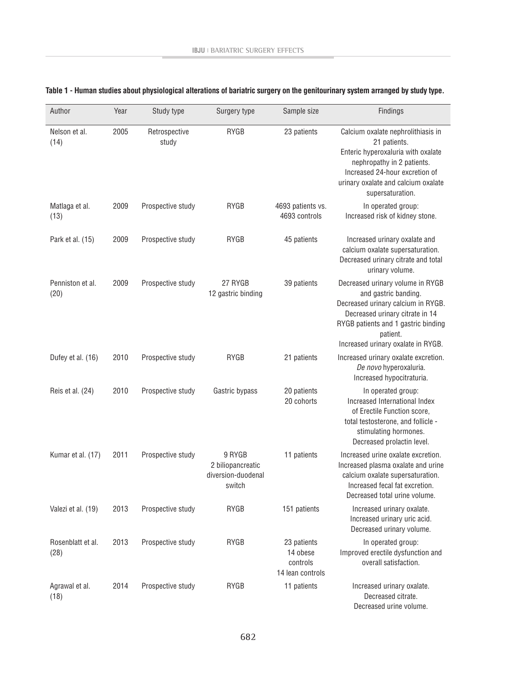| Author                    | Year | Study type             | Surgery type                                                | Sample size                                             | Findings                                                                                                                                                                                                                   |
|---------------------------|------|------------------------|-------------------------------------------------------------|---------------------------------------------------------|----------------------------------------------------------------------------------------------------------------------------------------------------------------------------------------------------------------------------|
| Nelson et al.<br>(14)     | 2005 | Retrospective<br>study | RYGB                                                        | 23 patients                                             | Calcium oxalate nephrolithiasis in<br>21 patients.<br>Enteric hyperoxaluria with oxalate<br>nephropathy in 2 patients.<br>Increased 24-hour excretion of<br>urinary oxalate and calcium oxalate<br>supersaturation.        |
| Matlaga et al.<br>(13)    | 2009 | Prospective study      | RYGB                                                        | 4693 patients vs.<br>4693 controls                      | In operated group:<br>Increased risk of kidney stone.                                                                                                                                                                      |
| Park et al. (15)          | 2009 | Prospective study      | RYGB                                                        | 45 patients                                             | Increased urinary oxalate and<br>calcium oxalate supersaturation.<br>Decreased urinary citrate and total<br>urinary volume.                                                                                                |
| Penniston et al.<br>(20)  | 2009 | Prospective study      | 27 RYGB<br>12 gastric binding                               | 39 patients                                             | Decreased urinary volume in RYGB<br>and gastric banding.<br>Decreased urinary calcium in RYGB.<br>Decreased urinary citrate in 14<br>RYGB patients and 1 gastric binding<br>patient.<br>Increased urinary oxalate in RYGB. |
| Dufey et al. (16)         | 2010 | Prospective study      | RYGB                                                        | 21 patients                                             | Increased urinary oxalate excretion.<br>De novo hyperoxaluria.<br>Increased hypocitraturia.                                                                                                                                |
| Reis et al. (24)          | 2010 | Prospective study      | Gastric bypass                                              | 20 patients<br>20 cohorts                               | In operated group:<br>Increased International Index<br>of Erectile Function score,<br>total testosterone, and follicle -<br>stimulating hormones.<br>Decreased prolactin level.                                            |
| Kumar et al. (17)         | 2011 | Prospective study      | 9 RYGB<br>2 biliopancreatic<br>diversion-duodenal<br>switch | 11 patients                                             | Increased urine oxalate excretion.<br>Increased plasma oxalate and urine<br>calcium oxalate supersaturation.<br>Increased fecal fat excretion.<br>Decreased total urine volume.                                            |
| Valezi et al. (19)        | 2013 | Prospective study      | RYGB                                                        | 151 patients                                            | Increased urinary oxalate.<br>Increased urinary uric acid.<br>Decreased urinary volume.                                                                                                                                    |
| Rosenblatt et al.<br>(28) | 2013 | Prospective study      | RYGB                                                        | 23 patients<br>14 obese<br>controls<br>14 lean controls | In operated group:<br>Improved erectile dysfunction and<br>overall satisfaction.                                                                                                                                           |
| Agrawal et al.<br>(18)    | 2014 | Prospective study      | RYGB                                                        | 11 patients                                             | Increased urinary oxalate.<br>Decreased citrate.<br>Decreased urine volume.                                                                                                                                                |

## **Table 1 - Human studies about physiological alterations of bariatric surgery on the genitourinary system arranged by study type.**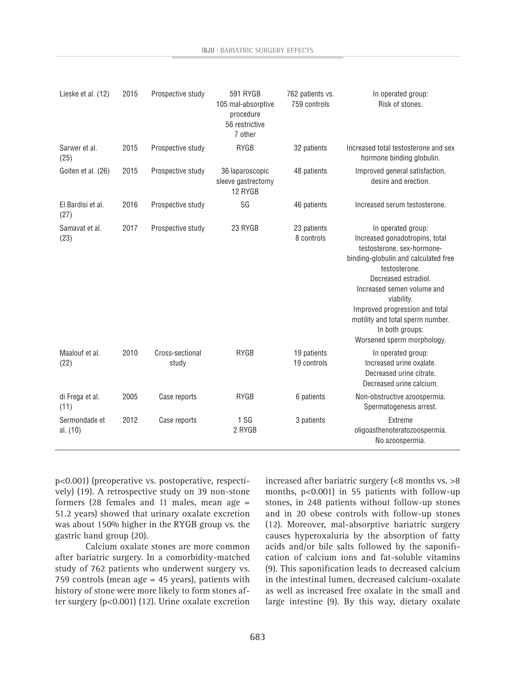| Lieske et al. (12)        | 2015 | Prospective study        | 591 RYGB<br>105 mal-absorptive<br>procedure<br>56 restrictive<br>7 other | 762 patients vs.<br>759 controls | In operated group:<br>Risk of stones.                                                                                                                                                                                                                                                                                                  |
|---------------------------|------|--------------------------|--------------------------------------------------------------------------|----------------------------------|----------------------------------------------------------------------------------------------------------------------------------------------------------------------------------------------------------------------------------------------------------------------------------------------------------------------------------------|
| Sarwer et al.<br>(25)     | 2015 | Prospective study        | RYGB                                                                     | 32 patients                      | Increased total testosterone and sex<br>hormone binding globulin.                                                                                                                                                                                                                                                                      |
| Goiten et al. (26)        | 2015 | Prospective study        | 36 laparoscopic<br>sleeve gastrectomy<br>12 RYGB                         | 48 patients                      | Improved general satisfaction,<br>desire and erection.                                                                                                                                                                                                                                                                                 |
| El Bardisi et al.<br>(27) | 2016 | Prospective study        | SG                                                                       | 46 patients                      | Increased serum testosterone.                                                                                                                                                                                                                                                                                                          |
| Samavat et al.<br>(23)    | 2017 | Prospective study        | 23 RYGB                                                                  | 23 patients<br>8 controls        | In operated group:<br>Increased gonadotropins, total<br>testosterone, sex-hormone-<br>binding-globulin and calculated free<br>testosterone.<br>Decreased estradiol.<br>Increased semen volume and<br>viability.<br>Improved progression and total<br>motility and total sperm number.<br>In both groups:<br>Worsened sperm morphology. |
| Maalouf et al.<br>(22)    | 2010 | Cross-sectional<br>study | <b>RYGB</b>                                                              | 19 patients<br>19 controls       | In operated group:<br>Increased urine oxalate.<br>Decreased urine citrate.<br>Decreased urine calcium.                                                                                                                                                                                                                                 |
| di Frega et al.<br>(11)   | 2005 | Case reports             | <b>RYGB</b>                                                              | 6 patients                       | Non-obstructive azoospermia.<br>Spermatogenesis arrest.                                                                                                                                                                                                                                                                                |
| Sermondade et<br>al. (10) | 2012 | Case reports             | 1S <sub>G</sub><br>2 RYGB                                                | 3 patients                       | Extreme<br>oligoasthenoteratozoospermia.<br>No azoospermia.                                                                                                                                                                                                                                                                            |

p<0.001) (preoperative vs. postoperative, respectively) (19). A retrospective study on 39 non-stone formers (28 females and 11 males, mean age = 51.2 years) showed that urinary oxalate excretion was about 150% higher in the RYGB group vs. the gastric band group (20).

Calcium oxalate stones are more common after bariatric surgery. In a comorbidity-matched study of 762 patients who underwent surgery vs. 759 controls (mean age = 45 years), patients with history of stone were more likely to form stones after surgery (p<0.001) (12). Urine oxalate excretion increased after bariatric surgery (<8 months vs. >8 months, p<0.001) in 55 patients with follow-up stones, in 248 patients without follow-up stones and in 20 obese controls with follow-up stones (12). Moreover, mal-absorptive bariatric surgery causes hyperoxaluria by the absorption of fatty acids and/or bile salts followed by the saponification of calcium ions and fat-soluble vitamins (9). This saponification leads to decreased calcium in the intestinal lumen, decreased calcium-oxalate as well as increased free oxalate in the small and large intestine (9). By this way, dietary oxalate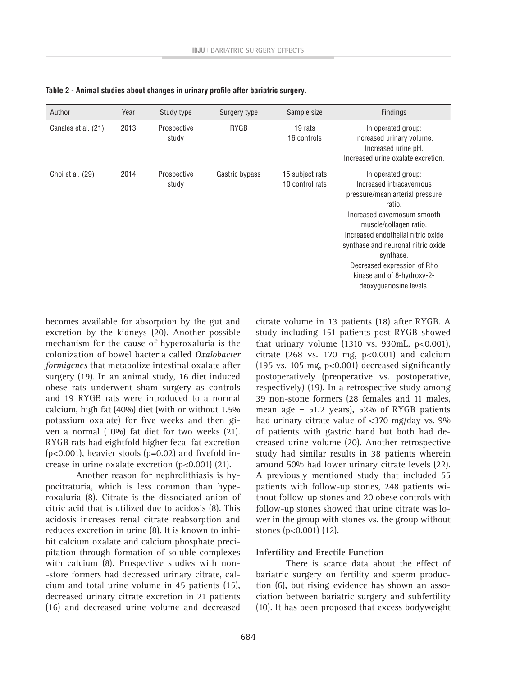| Author              | Year | Study type           | Surgery type   | Sample size                        | <b>Findings</b>                                                                                                                                                                                                                                                                                                                      |
|---------------------|------|----------------------|----------------|------------------------------------|--------------------------------------------------------------------------------------------------------------------------------------------------------------------------------------------------------------------------------------------------------------------------------------------------------------------------------------|
| Canales et al. (21) | 2013 | Prospective<br>study | <b>RYGB</b>    | 19 rats<br>16 controls             | In operated group:<br>Increased urinary volume.<br>Increased urine pH.<br>Increased urine oxalate excretion.                                                                                                                                                                                                                         |
| Choi et al. (29)    | 2014 | Prospective<br>study | Gastric bypass | 15 subject rats<br>10 control rats | In operated group:<br>Increased intracavernous<br>pressure/mean arterial pressure<br>ratio.<br>Increased cavernosum smooth<br>muscle/collagen ratio.<br>Increased endothelial nitric oxide<br>synthase and neuronal nitric oxide<br>synthase.<br>Decreased expression of Rho<br>kinase and of 8-hydroxy-2-<br>deoxyguanosine levels. |

**Table 2 - Animal studies about changes in urinary profile after bariatric surgery.**

becomes available for absorption by the gut and excretion by the kidneys (20). Another possible mechanism for the cause of hyperoxaluria is the colonization of bowel bacteria called *Oxalobacter formigenes* that metabolize intestinal oxalate after surgery (19). In an animal study, 16 diet induced obese rats underwent sham surgery as controls and 19 RYGB rats were introduced to a normal calcium, high fat (40%) diet (with or without 1.5% potassium oxalate) for five weeks and then given a normal (10%) fat diet for two weeks (21). RYGB rats had eightfold higher fecal fat excretion (p<0.001), heavier stools (p=0.02) and fivefold increase in urine oxalate excretion (p<0.001) (21).

Another reason for nephrolithiasis is hypocitraturia, which is less common than hyperoxaluria (8). Citrate is the dissociated anion of citric acid that is utilized due to acidosis (8). This acidosis increases renal citrate reabsorption and reduces excretion in urine (8). It is known to inhibit calcium oxalate and calcium phosphate precipitation through formation of soluble complexes with calcium (8). Prospective studies with non- -store formers had decreased urinary citrate, calcium and total urine volume in 45 patients (15), decreased urinary citrate excretion in 21 patients (16) and decreased urine volume and decreased

citrate volume in 13 patients (18) after RYGB. A study including 151 patients post RYGB showed that urinary volume  $(1310 \text{ vs. } 930 \text{ mL}, \text{ p<0.001}),$ citrate (268 vs. 170 mg,  $p<0.001$ ) and calcium (195 vs. 105 mg, p<0.001) decreased significantly postoperatively (preoperative vs. postoperative, respectively) (19). In a retrospective study among 39 non-stone formers (28 females and 11 males, mean age = 51.2 years), 52% of RYGB patients had urinary citrate value of <370 mg/day vs. 9% of patients with gastric band but both had decreased urine volume (20). Another retrospective study had similar results in 38 patients wherein around 50% had lower urinary citrate levels (22). A previously mentioned study that included 55 patients with follow-up stones, 248 patients without follow-up stones and 20 obese controls with follow-up stones showed that urine citrate was lower in the group with stones vs. the group without stones (p<0.001) (12).

#### **Infertility and Erectile Function**

There is scarce data about the effect of bariatric surgery on fertility and sperm production (6), but rising evidence has shown an association between bariatric surgery and subfertility (10). It has been proposed that excess bodyweight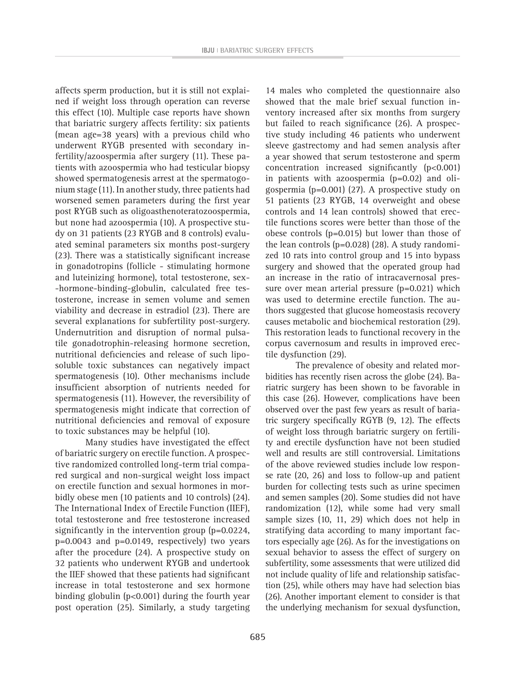affects sperm production, but it is still not explained if weight loss through operation can reverse this effect (10). Multiple case reports have shown that bariatric surgery affects fertility: six patients (mean age=38 years) with a previous child who underwent RYGB presented with secondary infertility/azoospermia after surgery (11). These patients with azoospermia who had testicular biopsy showed spermatogenesis arrest at the spermatogonium stage (11). In another study, three patients had worsened semen parameters during the first year post RYGB such as oligoasthenoteratozoospermia, but none had azoospermia (10). A prospective study on 31 patients (23 RYGB and 8 controls) evaluated seminal parameters six months post-surgery (23). There was a statistically significant increase in gonadotropins (follicle - stimulating hormone and luteinizing hormone), total testosterone, sex- -hormone-binding-globulin, calculated free testosterone, increase in semen volume and semen viability and decrease in estradiol (23). There are several explanations for subfertility post-surgery. Undernutrition and disruption of normal pulsatile gonadotrophin-releasing hormone secretion, nutritional deficiencies and release of such liposoluble toxic substances can negatively impact spermatogenesis (10). Other mechanisms include insufficient absorption of nutrients needed for spermatogenesis (11). However, the reversibility of spermatogenesis might indicate that correction of nutritional deficiencies and removal of exposure to toxic substances may be helpful (10).

Many studies have investigated the effect of bariatric surgery on erectile function. A prospective randomized controlled long-term trial compared surgical and non-surgical weight loss impact on erectile function and sexual hormones in morbidly obese men (10 patients and 10 controls) (24). The International Index of Erectile Function (IIEF), total testosterone and free testosterone increased significantly in the intervention group (p=0.0224, p=0.0043 and p=0.0149, respectively) two years after the procedure (24). A prospective study on 32 patients who underwent RYGB and undertook the IIEF showed that these patients had significant increase in total testosterone and sex hormone binding globulin (p<0.001) during the fourth year post operation (25). Similarly, a study targeting

14 males who completed the questionnaire also showed that the male brief sexual function inventory increased after six months from surgery but failed to reach significance (26). A prospective study including 46 patients who underwent sleeve gastrectomy and had semen analysis after a year showed that serum testosterone and sperm concentration increased significantly (p<0.001) in patients with azoospermia (p=0.02) and oligospermia (p=0.001) (27). A prospective study on 51 patients (23 RYGB, 14 overweight and obese controls and 14 lean controls) showed that erectile functions scores were better than those of the obese controls (p=0.015) but lower than those of the lean controls (p=0.028) (28). A study randomized 10 rats into control group and 15 into bypass surgery and showed that the operated group had an increase in the ratio of intracavernosal pressure over mean arterial pressure (p=0.021) which was used to determine erectile function. The authors suggested that glucose homeostasis recovery causes metabolic and biochemical restoration (29). This restoration leads to functional recovery in the corpus cavernosum and results in improved erectile dysfunction (29).

The prevalence of obesity and related morbidities has recently risen across the globe (24). Bariatric surgery has been shown to be favorable in this case (26). However, complications have been observed over the past few years as result of bariatric surgery specifically RGYB (9, 12). The effects of weight loss through bariatric surgery on fertility and erectile dysfunction have not been studied well and results are still controversial. Limitations of the above reviewed studies include low response rate (20, 26) and loss to follow-up and patient burden for collecting tests such as urine specimen and semen samples (20). Some studies did not have randomization (12), while some had very small sample sizes (10, 11, 29) which does not help in stratifying data according to many important factors especially age (26). As for the investigations on sexual behavior to assess the effect of surgery on subfertility, some assessments that were utilized did not include quality of life and relationship satisfaction (25), while others may have had selection bias (26). Another important element to consider is that the underlying mechanism for sexual dysfunction,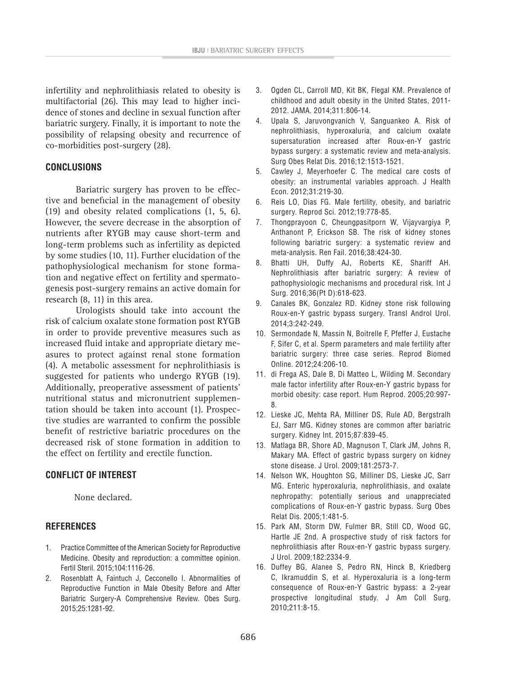infertility and nephrolithiasis related to obesity is multifactorial (26). This may lead to higher incidence of stones and decline in sexual function after bariatric surgery. Finally, it is important to note the possibility of relapsing obesity and recurrence of co-morbidities post-surgery (28).

#### **CONCLUSIONS**

Bariatric surgery has proven to be effective and beneficial in the management of obesity (19) and obesity related complications (1, 5, 6). However, the severe decrease in the absorption of nutrients after RYGB may cause short-term and long-term problems such as infertility as depicted by some studies (10, 11). Further elucidation of the pathophysiological mechanism for stone formation and negative effect on fertility and spermatogenesis post-surgery remains an active domain for research (8, 11) in this area.

Urologists should take into account the risk of calcium oxalate stone formation post RYGB in order to provide preventive measures such as increased fluid intake and appropriate dietary measures to protect against renal stone formation (4). A metabolic assessment for nephrolithiasis is suggested for patients who undergo RYGB (19). Additionally, preoperative assessment of patients' nutritional status and micronutrient supplementation should be taken into account (1). Prospective studies are warranted to confirm the possible benefit of restrictive bariatric procedures on the decreased risk of stone formation in addition to the effect on fertility and erectile function.

### **CONFLICT OF INTEREST**

None declared.

#### **REFERENCES**

- 1. Practice Committee of the American Society for Reproductive Medicine. Obesity and reproduction: a committee opinion. Fertil Steril. 2015;104:1116-26.
- 2. Rosenblatt A, Faintuch J, Cecconello I. Abnormalities of Reproductive Function in Male Obesity Before and After Bariatric Surgery-A Comprehensive Review. Obes Surg. 2015;25:1281-92.
- 3. Ogden CL, Carroll MD, Kit BK, Flegal KM. Prevalence of childhood and adult obesity in the United States, 2011- 2012. JAMA. 2014;311:806-14.
- 4. Upala S, Jaruvongvanich V, Sanguankeo A. Risk of nephrolithiasis, hyperoxaluria, and calcium oxalate supersaturation increased after Roux-en-Y gastric bypass surgery: a systematic review and meta-analysis. Surg Obes Relat Dis. 2016;12:1513-1521.
- 5. Cawley J, Meyerhoefer C. The medical care costs of obesity: an instrumental variables approach. J Health Econ. 2012;31:219-30.
- 6. Reis LO, Dias FG. Male fertility, obesity, and bariatric surgery. Reprod Sci. 2012;19:778-85.
- 7. Thongprayoon C, Cheungpasitporn W, Vijayvargiya P, Anthanont P, Erickson SB. The risk of kidney stones following bariatric surgery: a systematic review and meta-analysis. Ren Fail. 2016;38:424-30.
- 8. Bhatti UH, Duffy AJ, Roberts KE, Shariff AH. Nephrolithiasis after bariatric surgery: A review of pathophysiologic mechanisms and procedural risk. Int J Surg. 2016;36(Pt D):618-623.
- 9. Canales BK, Gonzalez RD. Kidney stone risk following Roux-en-Y gastric bypass surgery. Transl Androl Urol. 2014;3:242-249.
- 10. Sermondade N, Massin N, Boitrelle F, Pfeffer J, Eustache F, Sifer C, et al. Sperm parameters and male fertility after bariatric surgery: three case series. Reprod Biomed Online. 2012;24:206-10.
- 11. di Frega AS, Dale B, Di Matteo L, Wilding M. Secondary male factor infertility after Roux-en-Y gastric bypass for morbid obesity: case report. Hum Reprod. 2005;20:997- 8.
- 12. Lieske JC, Mehta RA, Milliner DS, Rule AD, Bergstralh EJ, Sarr MG. Kidney stones are common after bariatric surgery. Kidney Int. 2015;87:839-45.
- 13. Matlaga BR, Shore AD, Magnuson T, Clark JM, Johns R, Makary MA. Effect of gastric bypass surgery on kidney stone disease. J Urol. 2009;181:2573-7.
- 14. Nelson WK, Houghton SG, Milliner DS, Lieske JC, Sarr MG. Enteric hyperoxaluria, nephrolithiasis, and oxalate nephropathy: potentially serious and unappreciated complications of Roux-en-Y gastric bypass. Surg Obes Relat Dis. 2005;1:481-5.
- 15. Park AM, Storm DW, Fulmer BR, Still CD, Wood GC, Hartle JE 2nd. A prospective study of risk factors for nephrolithiasis after Roux-en-Y gastric bypass surgery. J Urol. 2009;182:2334-9.
- 16. Duffey BG, Alanee S, Pedro RN, Hinck B, Kriedberg C, Ikramuddin S, et al. Hyperoxaluria is a long-term consequence of Roux-en-Y Gastric bypass: a 2-year prospective longitudinal study. J Am Coll Surg. 2010;211:8-15.